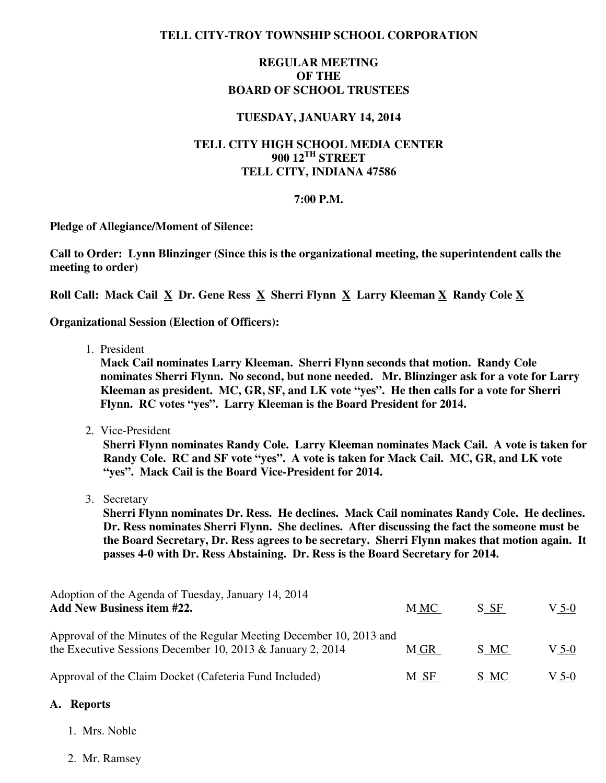### **TELL CITY-TROY TOWNSHIP SCHOOL CORPORATION**

### **REGULAR MEETING OF THE BOARD OF SCHOOL TRUSTEES**

### **TUESDAY, JANUARY 14, 2014**

# **TELL CITY HIGH SCHOOL MEDIA CENTER 900 12TH STREET TELL CITY, INDIANA 47586**

#### **7:00 P.M.**

**Pledge of Allegiance/Moment of Silence:** 

**Call to Order: Lynn Blinzinger (Since this is the organizational meeting, the superintendent calls the meeting to order)** 

 **Roll Call: Mack Cail X Dr. Gene Ress X Sherri Flynn X Larry Kleeman X Randy Cole X**

**Organizational Session (Election of Officers):** 

1. President

 **Mack Cail nominates Larry Kleeman. Sherri Flynn seconds that motion. Randy Cole nominates Sherri Flynn. No second, but none needed. Mr. Blinzinger ask for a vote for Larry Kleeman as president. MC, GR, SF, and LK vote "yes". He then calls for a vote for Sherri Flynn. RC votes "yes". Larry Kleeman is the Board President for 2014.** 

2. Vice-President

 **Sherri Flynn nominates Randy Cole. Larry Kleeman nominates Mack Cail. A vote is taken for Randy Cole. RC and SF vote "yes". A vote is taken for Mack Cail. MC, GR, and LK vote "yes". Mack Cail is the Board Vice-President for 2014.** 

3. Secretary

**Sherri Flynn nominates Dr. Ress. He declines. Mack Cail nominates Randy Cole. He declines. Dr. Ress nominates Sherri Flynn. She declines. After discussing the fact the someone must be the Board Secretary, Dr. Ress agrees to be secretary. Sherri Flynn makes that motion again. It passes 4-0 with Dr. Ress Abstaining. Dr. Ress is the Board Secretary for 2014.** 

Adoption of the Agenda of Tuesday, January 14, 2014 Add New Business item #22. **M** MC S SF V 5-0 Approval of the Minutes of the Regular Meeting December 10, 2013 and the Executive Sessions December 10, 2013 & January 2, 2014 M GR S MC V 5-0 Approval of the Claim Docket (Cafeteria Fund Included) M SF S MC V 5-0

#### **A. Reports**

- 1. Mrs. Noble
- 2. Mr. Ramsey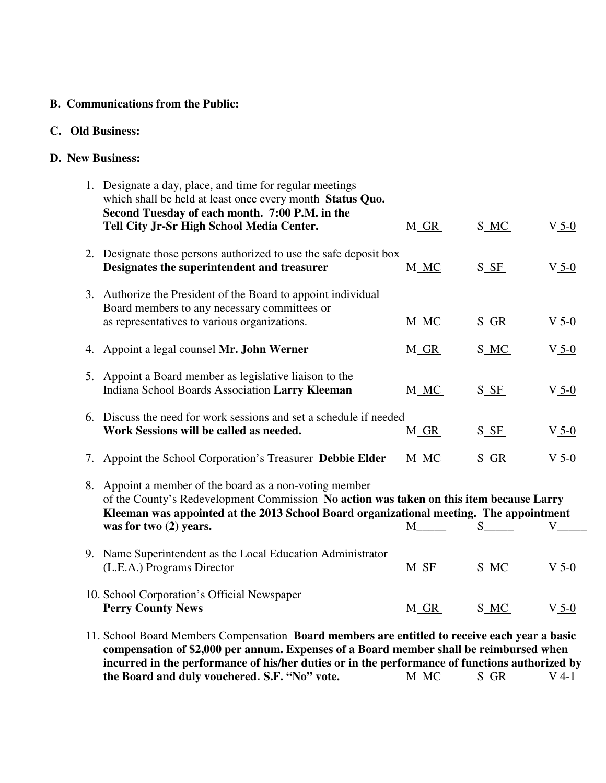### **B. Communications from the Public:**

# **C. Old Business:**

## **D. New Business:**

| 1. Designate a day, place, and time for regular meetings<br>which shall be held at least once every month Status Quo.<br>Second Tuesday of each month. 7:00 P.M. in the                                                                                                |                            |                                             |         |
|------------------------------------------------------------------------------------------------------------------------------------------------------------------------------------------------------------------------------------------------------------------------|----------------------------|---------------------------------------------|---------|
| Tell City Jr-Sr High School Media Center.                                                                                                                                                                                                                              | M <sub>GR</sub>            | S_MC_                                       | $V_5-0$ |
| 2. Designate those persons authorized to use the safe deposit box<br>Designates the superintendent and treasurer                                                                                                                                                       | M_MC                       | $S$ <sub><math>S</math><math>F</math></sub> | $V_5-0$ |
| 3. Authorize the President of the Board to appoint individual<br>Board members to any necessary committees or<br>as representatives to various organizations.                                                                                                          | M MC                       | S GR                                        | $V_5-0$ |
| 4. Appoint a legal counsel Mr. John Werner                                                                                                                                                                                                                             | M GR                       | S_MC_                                       | $V_5-0$ |
| 5. Appoint a Board member as legislative liaison to the<br>Indiana School Boards Association Larry Kleeman                                                                                                                                                             | M_MC_                      | $S_{\_}$ $SE_{\_}$                          | $V_5-0$ |
| 6. Discuss the need for work sessions and set a schedule if needed<br>Work Sessions will be called as needed.                                                                                                                                                          | M <sub>GR</sub>            | $S$ <sub><math>S</math><math>F</math></sub> | $V_5-0$ |
| 7. Appoint the School Corporation's Treasurer Debbie Elder                                                                                                                                                                                                             | M MC                       | $S_GR$                                      | $V_5-0$ |
| 8. Appoint a member of the board as a non-voting member<br>of the County's Redevelopment Commission No action was taken on this item because Larry<br>Kleeman was appointed at the 2013 School Board organizational meeting. The appointment<br>was for two (2) years. | M                          | $S \qquad \qquad$                           |         |
| 9. Name Superintendent as the Local Education Administrator<br>(L.E.A.) Programs Director                                                                                                                                                                              | $M_{\overline{\text{SF}}}$ | S_MC                                        | $V_5-0$ |
| 10. School Corporation's Official Newspaper<br><b>Perry County News</b>                                                                                                                                                                                                | M GR                       | S_MC                                        | $V_5-0$ |
| 11. School Board Members Compensation Board members are entitled to receive each year a basic<br>compensation of \$2,000 per annum. Expenses of a Board member shall be reimbursed when                                                                                |                            |                                             |         |

 **compensation of \$2,000 per annum. Expenses of a Board member shall be reimbursed when incurred in the performance of his/her duties or in the performance of functions authorized by the Board and duly vouchered. S.F. "No" vote.** M\_MC S\_GR V\_4-1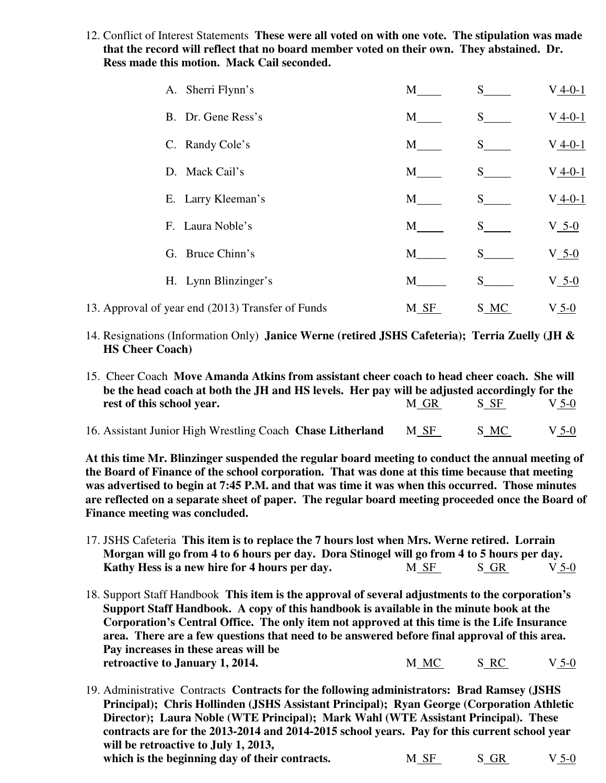12. Conflict of Interest Statements **These were all voted on with one vote. The stipulation was made that the record will reflect that no board member voted on their own. They abstained. Dr. Ress made this motion. Mack Cail seconded.**

| A. Sherri Flynn's                                 | M    | S                 | $V_4-0-1$ |
|---------------------------------------------------|------|-------------------|-----------|
| B. Dr. Gene Ress's                                | M    | S                 | $V_4-0-1$ |
| C. Randy Cole's                                   | M    | S                 | $V_4-0-1$ |
| D. Mack Cail's                                    | M    | S                 | $V_4-0-1$ |
| E. Larry Kleeman's                                | M    | S —               | $V_4-0-1$ |
| F. Laura Noble's                                  | M    | S                 | $V_5-0$   |
| G. Bruce Chinn's                                  | M    | $S \qquad \qquad$ | $V_5-0$   |
| H. Lynn Blinzinger's                              | M    | S.                | $V_5-0$   |
| 13. Approval of year end (2013) Transfer of Funds | M SF | S_MC              | $V_5-0$   |

- 14. Resignations (Information Only) **Janice Werne (retired JSHS Cafeteria); Terria Zuelly (JH & HS Cheer Coach)**
- 15. Cheer Coach **Move Amanda Atkins from assistant cheer coach to head cheer coach. She will be the head coach at both the JH and HS levels. Her pay will be adjusted accordingly for the**  rest of this school year. M GR S SF V 5-0
- 16. Assistant Junior High Wrestling Coach **Chase Litherland** M SF S MC V 5-0

**At this time Mr. Blinzinger suspended the regular board meeting to conduct the annual meeting of the Board of Finance of the school corporation. That was done at this time because that meeting was advertised to begin at 7:45 P.M. and that was time it was when this occurred. Those minutes are reflected on a separate sheet of paper. The regular board meeting proceeded once the Board of Finance meeting was concluded.** 

- 17. JSHS Cafeteria **This item is to replace the 7 hours lost when Mrs. Werne retired. Lorrain Morgan will go from 4 to 6 hours per day. Dora Stinogel will go from 4 to 5 hours per day. Kathy Hess is a new hire for 4 hours per day.** M SF S GR V 5-0
- 18. Support Staff Handbook **This item is the approval of several adjustments to the corporation's Support Staff Handbook. A copy of this handbook is available in the minute book at the Corporation's Central Office. The only item not approved at this time is the Life Insurance area. There are a few questions that need to be answered before final approval of this area. Pay increases in these areas will be retroactive to January 1, 2014.** M\_MC S\_RC V 5-0

19. Administrative Contracts **Contracts for the following administrators: Brad Ramsey (JSHS Principal); Chris Hollinden (JSHS Assistant Principal); Ryan George (Corporation Athletic Director); Laura Noble (WTE Principal); Mark Wahl (WTE Assistant Principal). These contracts are for the 2013-2014 and 2014-2015 school years. Pay for this current school year will be retroactive to July 1, 2013,**  which is the beginning day of their contracts.  $M \text{ SF}$   $S \text{ GR}$   $V \text{ 5-0}$